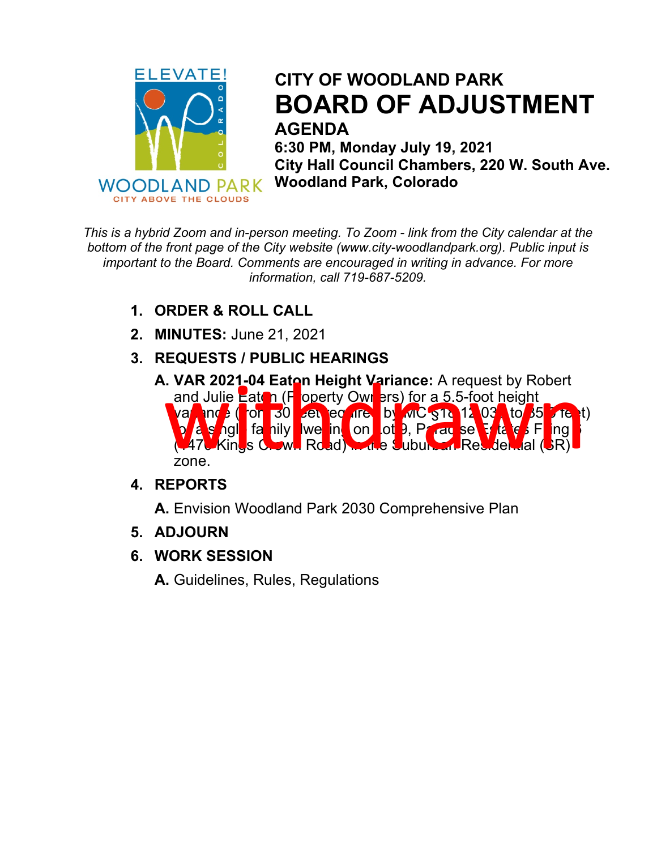

## **CITY OF WOODLAND PARK BOARD OF ADJUSTMENT AGENDA**

 **6:30 PM, Monday July 19, 2021 City Hall Council Chambers, 220 W. South Ave. Woodland Park, Colorado**

*This is a hybrid Zoom and in-person meeting. To Zoom - link from the City calendar at the bottom of the front page of the City website (www.city-woodlandpark.org). Public input is important to the Board. Comments are encouraged in writing in advance. For more information, call 719-687-5209.*

- **1. ORDER & ROLL CALL**
- **2. MINUTES:** June 21, 2021
- **3. REQUESTS / PUBLIC HEARINGS**
	- **A. VAR 2021-04 Eaton Height Variance:** A request by Robert and Julie Eaton (F operty Owners) for a 5.5-foot height variance (from 30 set equired by MC §18.12.030 to 35.5 feet) **for a single family twe in the onlight 9, Paradise Estates Filing 6** in (1470 Kings Crown Road) in the Suburban Residential (SR) zone. WAR 2021-04 Eaton Height Variance: A request by Robert<br>and Julie Eaton (F operty Owners) for a 5.5-foot height<br>value of  $\frac{1}{2}$  (for  $\frac{1}{30}$  en equity of  $\frac{1}{30}$  and  $\frac{1}{30}$  for  $\frac{1}{30}$  fa hily we in on of  $\$

### **4. REPORTS**

**A.** Envision Woodland Park 2030 Comprehensive Plan

- **5. ADJOURN**
- **6. WORK SESSION**

**A.** Guidelines, Rules, Regulations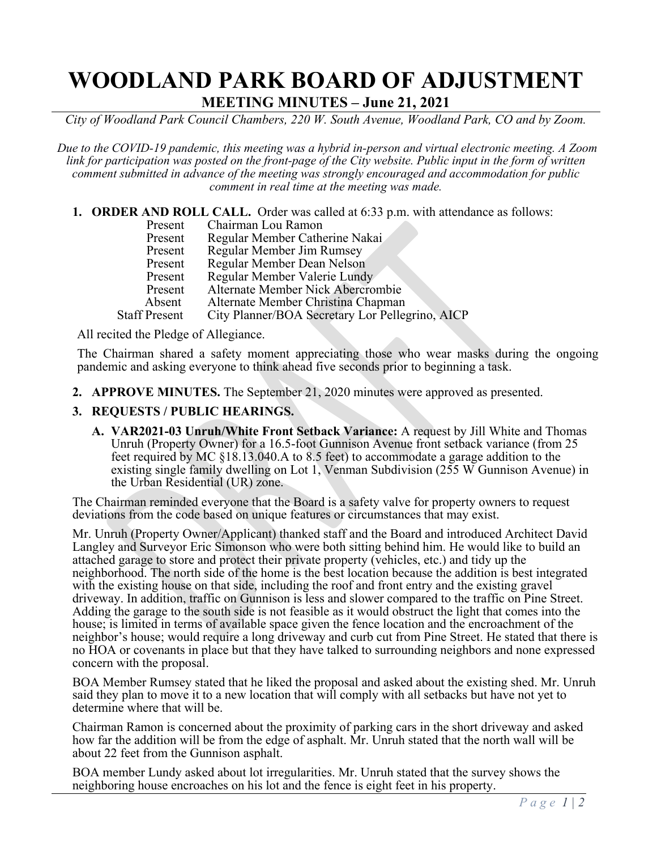# **WOODLAND PARK BOARD OF ADJUSTMENT**

**MEETING MINUTES – June 21, 2021**

*City of Woodland Park Council Chambers, 220 W. South Avenue, Woodland Park, CO and by Zoom.*

*Due to the COVID-19 pandemic, this meeting was a hybrid in-person and virtual electronic meeting. A Zoom link for participation was posted on the front-page of the City website. Public input in the form of written comment submitted in advance of the meeting was strongly encouraged and accommodation for public comment in real time at the meeting was made.*

**1. ORDER AND ROLL CALL.** Order was called at 6:33 p.m. with attendance as follows:<br>Present Chairman Lou Ramon Present Chairman Lou Ramon<br>Present Regular Member Cathe Present Regular Member Catherine Nakai<br>Present Regular Member Jim Rumsev Regular Member Jim Rumsey Present Regular Member Dean Nelson<br>Present Regular Member Valerie Lund Present Regular Member Valerie Lundy<br>Present Alternate Member Nick Abercro

Present Alternate Member Nick Abercrombie<br>Absent Alternate Member Christina Chapman

Absent Alternate Member Christina Chapman<br>Staff Present City Planner/BOA Secretary Lor Pelles City Planner/BOA Secretary Lor Pellegrino, AICP

All recited the Pledge of Allegiance.

The Chairman shared a safety moment appreciating those who wear masks during the ongoing pandemic and asking everyone to think ahead five seconds prior to beginning a task.

**2. APPROVE MINUTES.** The September 21, 2020 minutes were approved as presented.

### **3. REQUESTS / PUBLIC HEARINGS.**

**A. VAR2021-03 Unruh/White Front Setback Variance:** A request by Jill White and Thomas Unruh (Property Owner) for a 16.5-foot Gunnison Avenue front setback variance (from 25 feet required by MC §18.13.040.A to 8.5 feet) to accommodate a garage addition to the existing single family dwelling on Lot 1, Venman Subdivision (255 W Gunnison Avenue) in the Urban Residential (UR) zone.

The Chairman reminded everyone that the Board is a safety valve for property owners to request deviations from the code based on unique features or circumstances that may exist.

Mr. Unruh (Property Owner/Applicant) thanked staff and the Board and introduced Architect David Langley and Surveyor Eric Simonson who were both sitting behind him. He would like to build an attached garage to store and protect their private property (vehicles, etc.) and tidy up the neighborhood. The north side of the home is the best location because the addition is best integrated with the existing house on that side, including the roof and front entry and the existing gravel driveway. In addition, traffic on Gunnison is less and slower compared to the traffic on Pine Street. Adding the garage to the south side is not feasible as it would obstruct the light that comes into the house; is limited in terms of available space given the fence location and the encroachment of the neighbor's house; would require a long driveway and curb cut from Pine Street. He stated that there is no HOA or covenants in place but that they have talked to surrounding neighbors and none expressed concern with the proposal.

BOA Member Rumsey stated that he liked the proposal and asked about the existing shed. Mr. Unruh said they plan to move it to a new location that will comply with all setbacks but have not yet to determine where that will be.

Chairman Ramon is concerned about the proximity of parking cars in the short driveway and asked how far the addition will be from the edge of asphalt. Mr. Unruh stated that the north wall will be about 22 feet from the Gunnison asphalt.

BOA member Lundy asked about lot irregularities. Mr. Unruh stated that the survey shows the neighboring house encroaches on his lot and the fence is eight feet in his property.